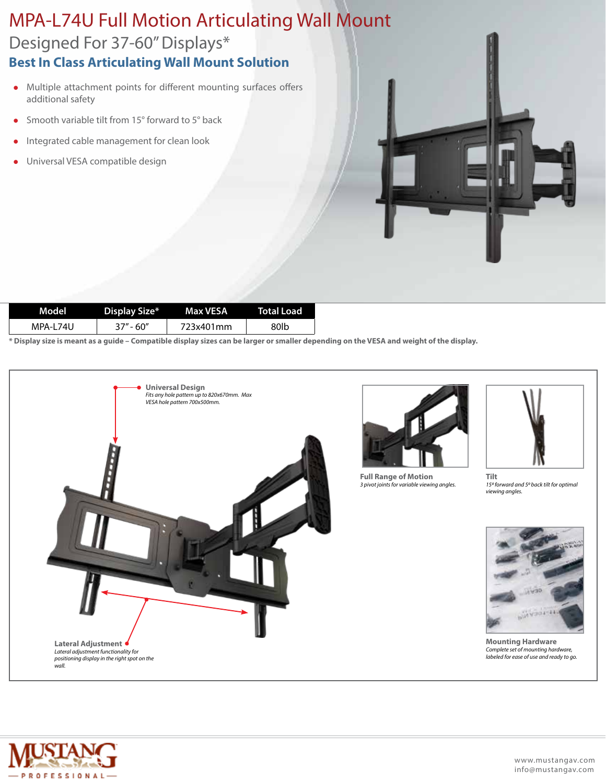## Designed For 37-60" Displays\* MPA-L74U Full Motion Articulating Wall Mount **Best In Class Articulating Wall Mount Solution**

- Multiple attachment points for different mounting surfaces offers additional safety
- Smooth variable tilt from 15 $\degree$  forward to 5 $\degree$  back
- <sup>l</sup> Integrated cable management for clean look
- <sup>l</sup> Universal VESA compatible design

| Model    | Display Size* | Max VESA  | <b>Total Load</b> |
|----------|---------------|-----------|-------------------|
| MPA-L74U | $37" - 60"$   | 723x401mm | 80lb              |

**\* Display size is meant as a guide – Compatible display sizes can be larger or smaller depending on the VESA and weight of the display.**





**Full Range of Motion** *3 pivot joints for variable viewing angles.*



**Tilt** *150 forward and 50 back tilt for optimal viewing angles.*



**Mounting Hardware** *Complete set of mounting hardware, labeled for ease of use and ready to go.*